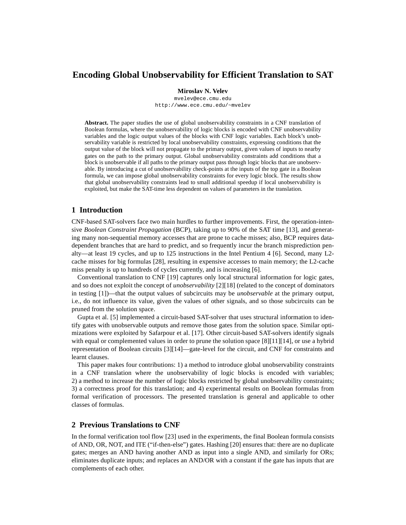# **Encoding Global Unobservability for Efficient Translation to SAT**

#### **Miroslav N. Velev**

mvelev@ece.cmu.edu http://www.ece.cmu.edu/~mvelev

**Abstract.** The paper studies the use of global unobservability constraints in a CNF translation of Boolean formulas, where the unobservability of logic blocks is encoded with CNF unobservability variables and the logic output values of the blocks with CNF logic variables. Each block's unobservability variable is restricted by local unobservability constraints, expressing conditions that the output value of the block will not propagate to the primary output, given values of inputs to nearby gates on the path to the primary output. Global unobservability constraints add conditions that a block is unobservable if all paths to the primary output pass through logic blocks that are unobservable. By introducing a cut of unobservability check-points at the inputs of the top gate in a Boolean formula, we can impose global unobservability constraints for every logic block. The results show that global unobservability constraints lead to small additional speedup if local unobservability is exploited, but make the SAT-time less dependent on values of parameters in the translation.

# **1 Introduction**

CNF-based SAT-solvers face two main hurdles to further improvements. First, the operation-intensive *Boolean Constraint Propagation* (BCP), taking up to 90% of the SAT time [\[13](#page-7-0)], and generating many non-sequential memory accesses that are prone to cache misses; also, BCP requires datadependent branches that are hard to predict, and so frequently incur the branch misprediction penalty—at least 19 cycles, and up to 125 instructions in the Intel Pentium 4 [[6\]](#page-6-0). Second, many L2 cache misses for big formulas [\[28](#page-7-1)], resulting in expensive accesses to main memory; the L2-cache miss penalty is up to hundreds of cycles currently, and is increasing [[6\]](#page-6-0).

Conventional translation to CNF [[19\]](#page-7-2) captures only local structural information for logic gates, and so does not exploit the concept of *unobservability* [\[2](#page-6-1)][\[18](#page-7-5)] (related to the concept of dominators in testing [\[1](#page-6-2)])—that the output values of subcircuits may be *unobservable* at the primary output, i.e., do not influence its value, given the values of other signals, and so those subcircuits can be pruned from the solution space.

Gupta et al. [[5\]](#page-6-3) implemented a circuit-based SAT-solver that uses structural information to identify gates with unobservable outputs and remove those gates from the solution space. Similar optimizations were exploited by Safarpour et al. [[17\]](#page-7-6). Other circuit-based SAT-solvers identify signals with equal or complemented values in order to prune the solution space [\[8](#page-7-7)][\[11\]](#page-7-8)[\[14](#page-7-9)], or use a hybrid representation of Boolean circuits [[3\]](#page-6-4)[[14](#page-7-9)]—gate-level for the circuit, and CNF for constraints and learnt clauses.

This paper makes four contributions: 1) a method to introduce global unobservability constraints in a CNF translation where the unobservability of logic blocks is encoded with variables; 2) a method to increase the number of logic blocks restricted by global unobservability constraints; 3) a correctness proof for this translation; and 4) experimental results on Boolean formulas from formal verification of processors. The presented translation is general and applicable to other classes of formulas.

# **2 Previous Translations to CNF**

In the formal verification tool flow [[23\]](#page-7-3) used in the experiments, the final Boolean formula consists of AND, OR, NOT, and ITE ("if-then-else") gates. Hashing [\[20](#page-7-4)] ensures that: there are no duplicate gates; merges an AND having another AND as input into a single AND, and similarly for ORs; eliminates duplicate inputs; and replaces an AND/OR with a constant if the gate has inputs that are complements of each other.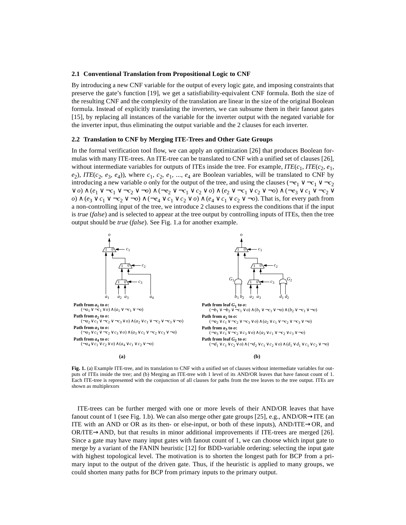#### **2.1 Conventional Translation from Propositional Logic to CNF**

By introducing a new CNF variable for the output of every logic gate, and imposing constraints that preserve the gate's function [\[19](#page-7-2)], we get a satisfiability-equivalent CNF formula. Both the size of the resulting CNF and the complexity of the translation are linear in the size of the original Boolean formula. Instead of explicitly translating the inverters, we can subsume them in their fanout gates [\[15](#page-7-10)], by replacing all instances of the variable for the inverter output with the negated variable for the inverter input, thus eliminating the output variable and the 2 clauses for each inverter.

## **2.2 Translation to CNF by Merging ITE-Trees and Other Gate Groups**

In the formal verification tool flow, we can apply an optimization [[26\]](#page-7-11) that produces Boolean formulas with many ITE-trees. An ITE-tree can be translated to CNF with a unified set of clauses [\[26](#page-7-11)], without intermediate variables for outputs of ITEs inside the tree. For example,  $ITE(c_1,ITE(c_2, e_1,$  $(e_2)$ , *ITE*( $c_2$ ,  $e_3$ ,  $e_4$ )), where  $c_1$ ,  $c_2$ ,  $e_1$ , ...,  $e_4$  are Boolean variables, will be translated to CNF by introducing a new variable  $o$  only for the output of the tree, and using the clauses ( $\neg e_1 \lor \neg c_1 \lor \neg c_2$ ∨ *o*) ∧ (*e*<sup>1</sup> ∨ ¬*c*<sup>1</sup> ∨ ¬*c*<sup>2</sup> ∨ ¬*o*) ∧ (¬*e*<sup>2</sup> ∨ ¬*c*<sup>1</sup> ∨ *c*<sup>2</sup> ∨ *o*) ∧ (*e*<sup>2</sup> ∨ ¬*c*<sup>1</sup> ∨ *c*<sup>2</sup> ∨ ¬*o*) ∧ (¬*e*<sup>3</sup> ∨ *c*<sup>1</sup> ∨ ¬*c*<sup>2</sup> ∨ *o*) ∧ ( $e_3 \vee c_1 \vee \neg c_2 \vee \neg o$ ) ∧ ( $\neg e_4 \vee c_1 \vee c_2 \vee o$ ) ∧ ( $e_4 \vee c_1 \vee c_2 \vee \neg o$ ). That is, for every path from a non-controlling input of the tree, we introduce 2 clauses to express the conditions that if the input is *true* (*false*) and is selected to appear at the tree output by controlling inputs of ITEs, then the tree output should be *true* (*false*). See Fig. 1.a for another example.



**Fig. 1.** (a) Example ITE-tree, and its translation to CNF with a unified set of clauses without intermediate variables for outputs of ITEs inside the tree; and (b) Merging an ITE-tree with 1 level of its AND/OR leaves that have fanout count of 1. Each ITE-tree is represented with the conjunction of all clauses for paths from the tree leaves to the tree output. ITEs are shown as multiplexors

ITE-trees can be further merged with one or more levels of their AND/OR leaves that have fanout count of 1 (see Fig. 1.b). We can also merge other gate groups [[25\]](#page-7-12), e.g., AND/OR $\rightarrow$ ITE (an ITE with an AND or OR as its then- or else-input, or both of these inputs), AND/ITE→OR, and OR/ITE→AND, but that results in minor additional improvements if ITE-trees are merged [\[26](#page-7-11)]. Since a gate may have many input gates with fanout count of 1, we can choose which input gate to merge by a variant of the FANIN heuristic [\[12](#page-7-13)] for BDD-variable ordering: selecting the input gate with highest topological level. The motivation is to shorten the longest path for BCP from a primary input to the output of the driven gate. Thus, if the heuristic is applied to many groups, we could shorten many paths for BCP from primary inputs to the primary output.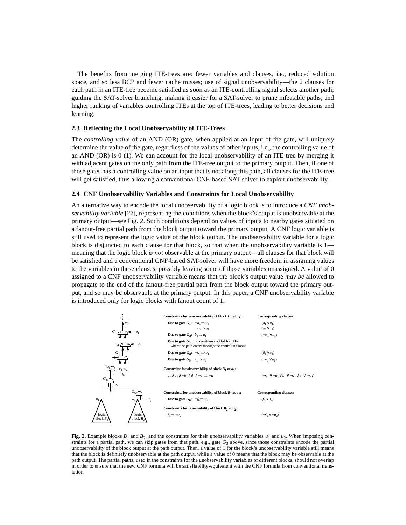The benefits from merging ITE-trees are: fewer variables and clauses, i.e., reduced solution space, and so less BCP and fewer cache misses; use of signal unobservability—the 2 clauses for each path in an ITE-tree become satisfied as soon as an ITE-controlling signal selects another path; guiding the SAT-solver branching, making it easier for a SAT-solver to prune infeasible paths; and higher ranking of variables controlling ITEs at the top of ITE-trees, leading to better decisions and learning.

## <span id="page-2-0"></span>**2.3 Reflecting the Local Unobservability of ITE-Trees**

The *controlling value* of an AND (OR) gate, when applied at an input of the gate, will uniquely determine the value of the gate, regardless of the values of other inputs, i.e., the controlling value of an AND (OR) is 0 (1). We can account for the local unobservability of an ITE-tree by merging it with adjacent gates on the only path from the ITE-tree output to the primary output. Then, if one of those gates has a controlling value on an input that is not along this path, all clauses for the ITE-tree will get satisfied, thus allowing a conventional CNF-based SAT solver to exploit unobservability.

#### **2.4 CNF Unobservability Variables and Constraints for Local Unobservability**

An alternative way to encode the local unobservability of a logic block is to introduce a *CNF unobservability variable* [[27\]](#page-7-14), representing the conditions when the block's output is unobservable at the primary output—see Fig. 2. Such conditions depend on values of inputs to nearby gates situated on a fanout-free partial path from the block output toward the primary output. A CNF logic variable is still used to represent the logic value of the block output. The unobservability variable for a logic block is disjuncted to each clause for that block, so that when the unobservability variable is 1 meaning that the logic block *is not* observable at the primary output—all clauses for that block will be satisfied and a conventional CNF-based SAT-solver will have more freedom in assigning values to the variables in these clauses, possibly leaving some of those variables unassigned. A value of 0 assigned to a CNF unobservability variable means that the block's output value *may be* allowed to propagate to the end of the fanout-free partial path from the block output toward the primary output, and so may be observable at the primary output. In this paper, a CNF unobservability variable is introduced only for logic blocks with fanout count of 1.



**Fig. 2.** Example blocks  $B_1$  and  $B_2$ , and the constraints for their unobservability variables  $u_1$  and  $u_2$ . When imposing constraints for a partial path, we can skip gates from that path, e.g., gate  $G_3$  above, since those constraints encode the partial unobservability of the block output at the path output. Then, a value of 1 for the block's unobservability variable still means that the block is definitely unobservable at the path output, while a value of 0 means that the block may be observable at the path output. The partial paths, used in the constraints for the unobservability variables of different blocks, should not overlap in order to ensure that the new CNF formula will be satisfiability-equivalent with the CNF formula from conventional translation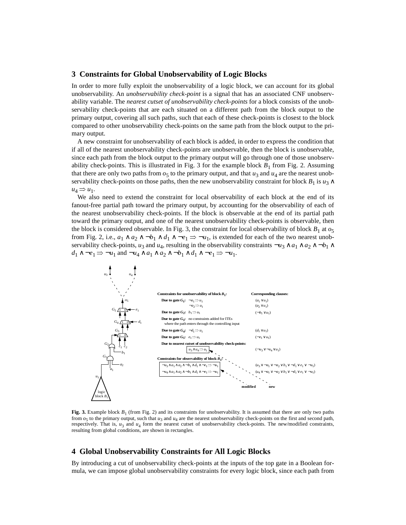## **3 Constraints for Global Unobservability of Logic Blocks**

In order to more fully exploit the unobservability of a logic block, we can account for its global unobservability. An *unobservability check-point* is a signal that has an associated CNF unobservability variable. The *nearest cutset of unobservability check-points* for a block consists of the unobservability check-points that are each situated on a different path from the block output to the primary output, covering all such paths, such that each of these check-points is closest to the block compared to other unobservability check-points on the same path from the block output to the primary output.

A new constraint for unobservability of each block is added, in order to express the condition that if all of the nearest unobservability check-points are unobservable, then the block is unobservable, since each path from the block output to the primary output will go through one of those unobservability check-points. This is illustrated in Fig. 3 for the example block  $B_1$  from Fig. 2. Assuming that there are only two paths from  $o<sub>5</sub>$  to the primary output, and that  $u<sub>3</sub>$  and  $u<sub>4</sub>$  are the nearest unobservability check-points on those paths, then the new unobservability constraint for block  $B_1$  is  $u_3 \wedge$  $u_4 \Rightarrow u_1$ .

We also need to extend the constraint for local observability of each block at the end of its fanout-free partial path toward the primary output, by accounting for the observability of each of the nearest unobservability check-points. If the block is observable at the end of its partial path toward the primary output, and one of the nearest unobservability check-points is observable, then the block is considered observable. In Fig. 3, the constraint for local observability of block  $B_1$  at  $o_5$ from Fig. 2, i.e.,  $a_1 \wedge a_2 \wedge \neg b_1 \wedge d_1 \wedge \neg e_1 \Rightarrow \neg u_1$ , is extended for each of the two nearest unobservability check-points, *u*<sub>3</sub> and *u*<sub>4</sub>, resulting in the observability constraints  $\neg u_3 \wedge a_1 \wedge a_2 \wedge \neg b_1 \wedge a_2$ *d*<sub>1</sub> ∧ ¬*e*<sub>1</sub> ⇒ ¬*u*<sub>1</sub> and ¬*u*<sub>4</sub> ∧ *a*<sub>1</sub> ∧ *a*<sub>2</sub> ∧ ¬*b*<sub>1</sub> ∧ *d*<sub>1</sub> ∧ ¬*e*<sub>1</sub> ⇒ ¬*u*<sub>1</sub>.



**Fig. 3.** Example block *B*1 (from Fig. 2) and its constraints for unobservability. It is assumed that there are only two paths from  $o_5$  to the primary output, such that  $u_3$  and  $u_4$  are the nearest unobservability check-points on the first and second path, respectively. That is,  $u_3$  and  $u_4$  form the nearest cutset of unobservability check-points. The new/modified constraints, resulting from global conditions, are shown in rectangles.

# **4 Global Unobservability Constraints for All Logic Blocks**

By introducing a cut of unobservability check-points at the inputs of the top gate in a Boolean formula, we can impose global unobservability constraints for every logic block, since each path from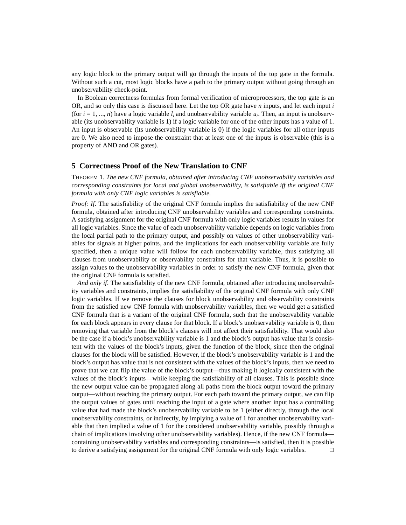any logic block to the primary output will go through the inputs of the top gate in the formula. Without such a cut, most logic blocks have a path to the primary output without going through an unobservability check-point.

In Boolean correctness formulas from formal verification of microprocessors, the top gate is an OR, and so only this case is discussed here. Let the top OR gate have *n* inputs, and let each input *i* (for  $i = 1, ..., n$ ) have a logic variable  $l_i$  and unobservability variable  $u_i$ . Then, an input is unobservable (its unobservability variable is 1) if a logic variable for one of the other inputs has a value of 1. An input is observable (its unobservability variable is 0) if the logic variables for all other inputs are 0. We also need to impose the constraint that at least one of the inputs is observable (this is a property of AND and OR gates).

## **5 Correctness Proof of the New Translation to CNF**

THEOREM 1. *The new CNF formula, obtained after introducing CNF unobservability variables and corresponding constraints for local and global unobservability, is satisfiable iff the original CNF formula with only CNF logic variables is satisfiable.*

*Proof: If*. The satisfiability of the original CNF formula implies the satisfiability of the new CNF formula, obtained after introducing CNF unobservability variables and corresponding constraints. A satisfying assignment for the original CNF formula with only logic variables results in values for all logic variables. Since the value of each unobservability variable depends on logic variables from the local partial path to the primary output, and possibly on values of other unobservability variables for signals at higher points, and the implications for each unobservability variable are fully specified, then a unique value will follow for each unobservability variable, thus satisfying all clauses from unobservability or observability constraints for that variable. Thus, it is possible to assign values to the unobservability variables in order to satisfy the new CNF formula, given that the original CNF formula is satisfied.

*And only if*. The satisfiability of the new CNF formula, obtained after introducing unobservability variables and constraints, implies the satisfiability of the original CNF formula with only CNF logic variables. If we remove the clauses for block unobservability and observability constraints from the satisfied new CNF formula with unobservability variables, then we would get a satisfied CNF formula that is a variant of the original CNF formula, such that the unobservability variable for each block appears in every clause for that block. If a block's unobservability variable is 0, then removing that variable from the block's clauses will not affect their satisfiability. That would also be the case if a block's unobservability variable is 1 and the block's output has value that is consistent with the values of the block's inputs, given the function of the block, since then the original clauses for the block will be satisfied. However, if the block's unobservability variable is 1 and the block's output has value that is not consistent with the values of the block's inputs, then we need to prove that we can flip the value of the block's output—thus making it logically consistent with the values of the block's inputs—while keeping the satisfiability of all clauses. This is possible since the new output value can be propagated along all paths from the block output toward the primary output—without reaching the primary output. For each path toward the primary output, we can flip the output values of gates until reaching the input of a gate where another input has a controlling value that had made the block's unobservability variable to be 1 (either directly, through the local unobservability constraints, or indirectly, by implying a value of 1 for another unobservability variable that then implied a value of 1 for the considered unobservability variable, possibly through a chain of implications involving other unobservability variables). Hence, if the new CNF formula containing unobservability variables and corresponding constraints—is satisfied, then it is possible to derive a satisfying assignment for the original CNF formula with only logic variables.  $\square$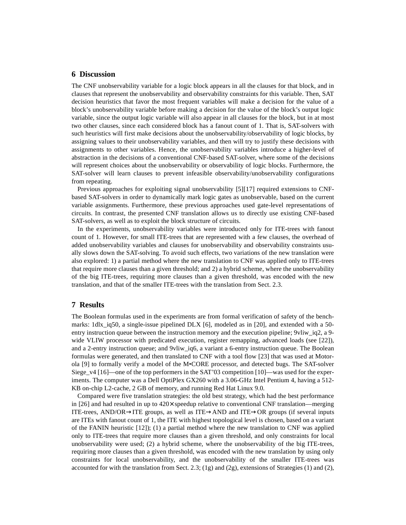## **6 Discussion**

The CNF unobservability variable for a logic block appears in all the clauses for that block, and in clauses that represent the unobservability and observability constraints for this variable. Then, SAT decision heuristics that favor the most frequent variables will make a decision for the value of a block's unobservability variable before making a decision for the value of the block's output logic variable, since the output logic variable will also appear in all clauses for the block, but in at most two other clauses, since each considered block has a fanout count of 1. That is, SAT-solvers with such heuristics will first make decisions about the unobservability/observability of logic blocks, by assigning values to their unobservability variables, and then will try to justify these decisions with assignments to other variables. Hence, the unobservability variables introduce a higher-level of abstraction in the decisions of a conventional CNF-based SAT-solver, where some of the decisions will represent choices about the unobservability or observability of logic blocks. Furthermore, the SAT-solver will learn clauses to prevent infeasible observability/unobservability configurations from repeating.

Previous approaches for exploiting signal unobservability [\[5](#page-6-3)][[17\]](#page-7-6) required extensions to CNFbased SAT-solvers in order to dynamically mark logic gates as unobservable, based on the current variable assignments. Furthermore, these previous approaches used gate-level representations of circuits. In contrast, the presented CNF translation allows us to directly use existing CNF-based SAT-solvers, as well as to exploit the block structure of circuits.

In the experiments, unobservability variables were introduced only for ITE-trees with fanout count of 1. However, for small ITE-trees that are represented with a few clauses, the overhead of added unobservability variables and clauses for unobservability and observability constraints usually slows down the SAT-solving. To avoid such effects, two variations of the new translation were also explored: 1) a partial method where the new translation to CNF was applied only to ITE-trees that require more clauses than a given threshold; and 2) a hybrid scheme, where the unobservability of the big ITE-trees, requiring more clauses than a given threshold, was encoded with the new translation, and that of the smaller ITE-trees with the translation from Sect. [2.3.](#page-2-0)

# **7 Results**

The Boolean formulas used in the experiments are from formal verification of safety of the benchmarks: 1dlx\_iq50, a single-issue pipelined DLX [[6\]](#page-6-0), modeled as in [[20\]](#page-7-4), and extended with a 50 entry instruction queue between the instruction memory and the execution pipeline; 9vliw iq2, a 9wide VLIW processor with predicated execution, register remapping, advanced loads (see [[22\]](#page-7-16)), and a 2-entry instruction queue; and 9vliw\_iq6, a variant a 6-entry instruction queue. The Boolean formulas were generated, and then translated to CNF with a tool flow [[23\]](#page-7-3) that was used at Motorola [[9\]](#page-7-15) to formally verify a model of the M•CORE processor, and detected bugs. The SAT-solver Siege\_v4 [[16\]](#page-7-17)—one of the top performers in the SAT'03 competition [\[10](#page-7-18)]—was used for the experiments. The computer was a Dell OptiPlex GX260 with a 3.06-GHz Intel Pentium 4, having a 512- KB on-chip L2-cache, 2 GB of memory, and running Red Hat Linux 9.0.

Compared were five translation strategies: the old best strategy, which had the best performance in [[26\]](#page-7-11) and had resulted in up to  $420\times$  speedup relative to conventional CNF translation—merging ITE-trees, AND/OR→ITE groups, as well as ITE→AND and ITE→OR groups (if several inputs are ITEs with fanout count of 1, the ITE with highest topological level is chosen, based on a variant of the FANIN heuristic [\[12](#page-7-13)]); (1) a partial method where the new translation to CNF was applied only to ITE-trees that require more clauses than a given threshold, and only constraints for local unobservability were used; (2) a hybrid scheme, where the unobservability of the big ITE-trees, requiring more clauses than a given threshold, was encoded with the new translation by using only constraints for local unobservability, and the unobservability of the smaller ITE-trees was accounted for with the translation from Sect. [2.3](#page-2-0); (1g) and (2g), extensions of Strategies (1) and (2),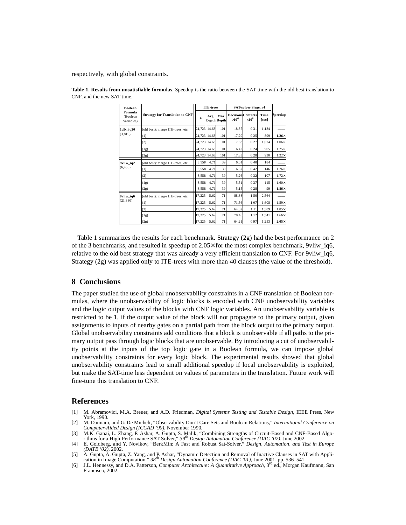respectively, with global constraints.

| <b>Boolean</b><br>Formula<br>(Boolean<br>Variables) | <b>Strategy for Translation to CNF</b> | <b>ITE-trees</b> |              |                     | SAT-solver Siege v4                        |               |               |              |
|-----------------------------------------------------|----------------------------------------|------------------|--------------|---------------------|--------------------------------------------|---------------|---------------|--------------|
|                                                     |                                        | #                | Avg.         | Max.<br>Depth Depth | <b>Decisions Conflicts</b><br>$\times10^6$ | $\times 10^6$ | Time<br>[sec] | Speedup      |
| 1dlx_iq50<br>(3, 819)                               | (old best): merge ITE-trees, etc.      |                  | 24,723 14.63 | 101                 | 18.37                                      | 0.31          | 1,134         |              |
|                                                     | (1)                                    |                  | 24,723 14.63 | 101                 | 17.29                                      | 0.25          | 899           | $1.26\times$ |
|                                                     | (2)                                    |                  | 24,723 14.63 | 101                 | 17.63                                      | 0.27          | 1,074         | $1.06\times$ |
|                                                     | (1g)                                   |                  | 24,723 14.63 | 101                 | 16.42                                      | 0.24          | 905           | $1.25\times$ |
|                                                     | (2g)                                   |                  | 24,723 14.63 | 101                 | 17.33                                      | 0.28          | 930           | $1.22\times$ |
| 9vliw iq2<br>(6, 480)                               | (old best): merge ITE-trees, etc.      | 3,558            | 4.71         | 39                  | 6.01                                       | 0.40          | 184           |              |
|                                                     | (1)                                    | 3,558            | 4.71         | 39                  | 6.37                                       | 0.42          | 146           | $1.26\times$ |
|                                                     | (2)                                    | 3,558            | 4.71         | 39                  | 5.26                                       | 0.32          | 107           | $1.72\times$ |
|                                                     | (1g)                                   | 3,558            | 4.71         | 39                  | 5.51                                       | 0.37          | 115           | $1.60\times$ |
|                                                     | (2g)                                   | 3,558            | 4.71         | 39                  | 5.15                                       | 0.28          | 99            | $1.86\times$ |
| 9vliw iq6<br>(21, 330)                              | (old best): merge ITE-trees, etc.      | 17,225           | 5.62         | 71                  | 88.38                                      | 1.50          | 2,564         |              |
|                                                     | (1)                                    | 17,225           | 5.62         | 71                  | 71.56                                      | 1.07          | 1.608         | $1.59\times$ |
|                                                     | (2)                                    | 17.225           | 5.62         | 71                  | 64.02                                      | 1.11          | 1.389         | $1.85\times$ |
|                                                     | (1g)                                   | 17,225           | 5.62         | 71                  | 70.46                                      | 1.12          | 1.541         | $1.66\times$ |
|                                                     | (2g)                                   | 17,225           | 5.62         | 71                  | 64.21                                      | 0.97          | 1,253         | $2.05\times$ |

**Table 1. Results from unsatisfiable formulas.** Speedup is the ratio between the SAT time with the old best translation to CNF, and the new SAT time.

Table 1 summarizes the results for each benchmark. Strategy (2g) had the best performance on 2 of the 3 benchmarks, and resulted in speedup of 2.05× for the most complex benchmark, 9vliw\_iq6, relative to the old best strategy that was already a very efficient translation to CNF. For 9vliw\_iq6, Strategy (2g) was applied only to ITE-trees with more than 40 clauses (the value of the threshold).

#### **8 Conclusions**

The paper studied the use of global unobservability constraints in a CNF translation of Boolean formulas, where the unobservability of logic blocks is encoded with CNF unobservability variables and the logic output values of the blocks with CNF logic variables. An unobservability variable is restricted to be 1, if the output value of the block will not propagate to the primary output, given assignments to inputs of nearby gates on a partial path from the block output to the primary output. Global unobservability constraints add conditions that a block is unobservable if all paths to the primary output pass through logic blocks that are unobservable. By introducing a cut of unobservability points at the inputs of the top logic gate in a Boolean formula, we can impose global unobservability constraints for every logic block. The experimental results showed that global unobservability constraints lead to small additional speedup if local unobservability is exploited, but make the SAT-time less dependent on values of parameters in the translation. Future work will fine-tune this translation to CNF.

## **References**

- <span id="page-6-2"></span>[1] M. Abramovici, M.A. Breuer, and A.D. Friedman, *Digital Systems Testing and Testable Design*, IEEE Press, New York, 1990.
- <span id="page-6-1"></span>[2] M. Damiani, and G. De Micheli, "Observability Don't Care Sets and Boolean Relations," *International Conference on Computer-Aided Design (ICCAD '90)*, November 1990.
- <span id="page-6-4"></span>[3] M.K. Ganai, L. Zhang, P. Ashar, A. Gupta, S. Malik, "Combining Strengths of Circuit-Based and CNF-Based Algorithms for a High-Performance SAT Solver,"  $39^{th}$  Design Automation Conference (DAC '02), June 2002.<br>[4] E. G
- *(DATE '02)*, 2002.
- <span id="page-6-3"></span>[5] A. Gupta, A. Gupta, Z. Yang, and P. Ashar, "Dynamic Detection and Removal of Inactive Clauses in SAT with Application in Image Computation,"  $38^{th}$  Design Automation Conference (DAC '01), June 2001, pp. 536–541.
- <span id="page-6-0"></span>[6] J.L. Hennessy, and D.A. Patterson, *Computer Architecture: A Quantitative Approach*, 3rd ed., Morgan Kaufmann, San Francisco, 2002.